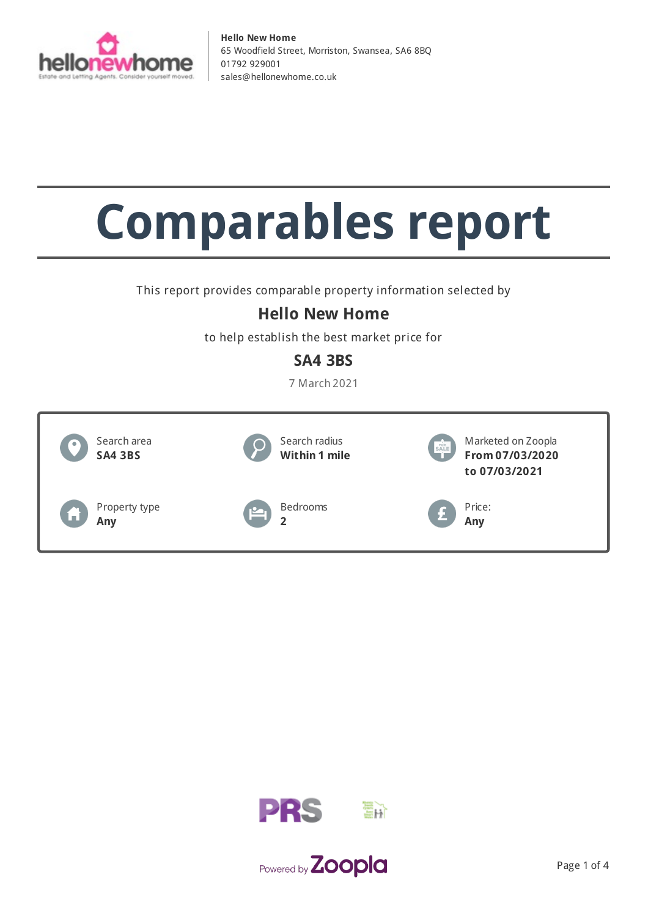

# **Comparables report**

This report provides comparable property information selected by

## **Hello New Home**

to help establish the best market price for

## **SA4 3BS**

7 March 2021





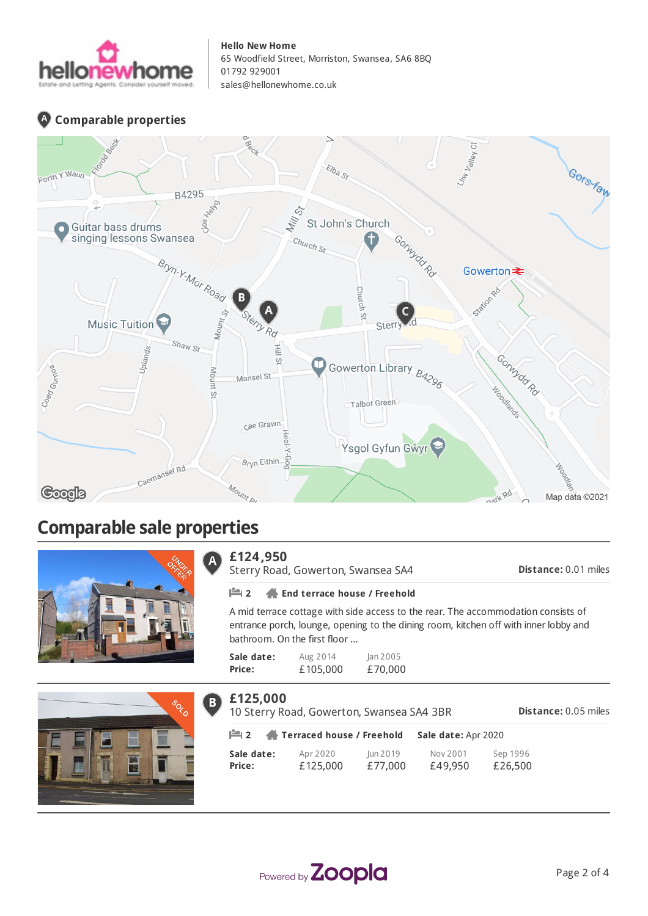

### **Comparable properties**



## **Comparable sale properties**





#### **£124,950**  $\overline{\mathsf{A}}$

Sterry Road, Gowerton, Swansea SA4

**Distance:** 0.01 miles

#### **2 End terrace house / Freehold**

A mid terrace cottage with side access to the rear. The accommodation consists of entrance porch, lounge, opening to the dining room, kitchen off with inner lobby and bathroom. On the first floor ...

| Sale date: | Aug 2014 | lan 2005 |
|------------|----------|----------|
| Price:     | £105,000 | £70,000  |

| £125,000                                    | 10 Sterry Road, Gowerton, Swansea SA4 3BR | <b>Distance: 0.05 miles</b> |                     |                     |
|---------------------------------------------|-------------------------------------------|-----------------------------|---------------------|---------------------|
| $\mathbf{m}_2$<br>Terraced house / Freehold |                                           |                             | Sale date: Apr 2020 |                     |
| Sale date:<br>Price:                        | Apr 2020<br>£125,000                      | Jun 2019<br>£77,000         | Nov 2001<br>£49,950 | Sep 1996<br>£26,500 |

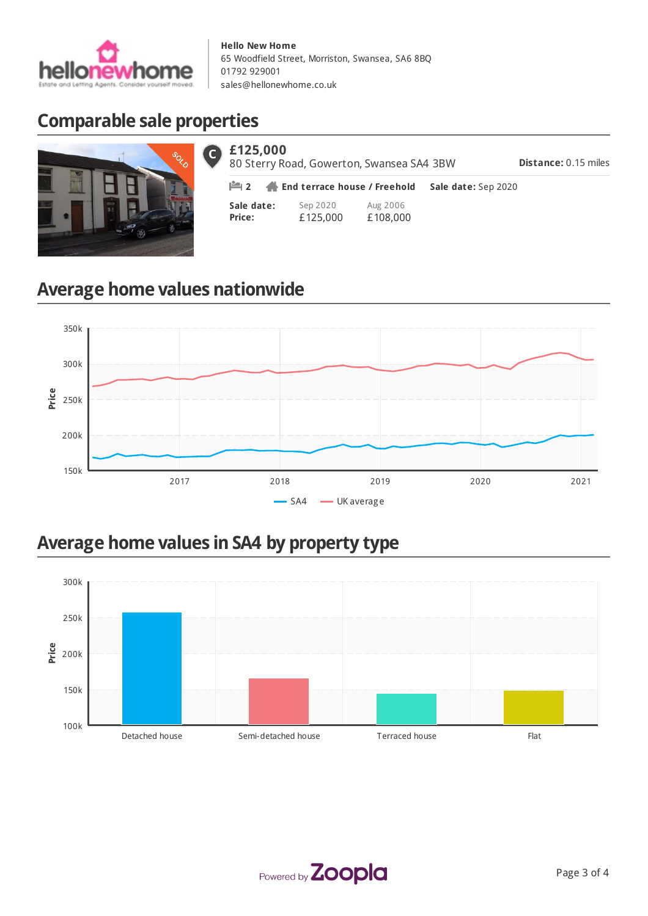

# **Comparable sale properties**



| $6$ £125,000<br>80 Sterry Road, Gowerton, Swansea SA4 3BW | <b>Distance: 0.15 miles</b>                              |                      |                     |  |
|-----------------------------------------------------------|----------------------------------------------------------|----------------------|---------------------|--|
|                                                           | $\mathbb{H}$ 2 $\mathbb{H}$ End terrace house / Freehold |                      | Sale date: Sep 2020 |  |
| Sale date:<br>Price:                                      | Sep 2020<br>£125,000                                     | Aug 2006<br>£108,000 |                     |  |

# **Average home values nationwide**



## **Average home values in SA4 by property type**